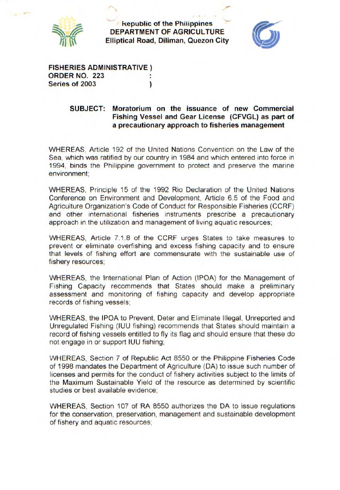

**Republic of the Philippines DEPARTMENT OF AGRICULTURE**<br>**Elliptical Road, Diliman, Quezon City** 



**FISHERIES ADMINISTRATIVE) ORDER NO. 223 Series of 2003** )

## **SUBJECT: Moratorium on the issuance of new Commercial Fishing Vessel and Gear License (CFVGL) as part of a precautionary approach to fisheries management**

WHEREAS, Article 192 of the United Nations Convention on the Law of the Sea, which was ratified by our country in 1984 and which entered into force in 1994, binds the Philippine government to protect and preserve the marine environment;

WHEREAS, Principle 15 of the 1992 Rio Declaration of the United Nations Conference on Environment and Development, Article 6.5 of the Food and Agriculture Organization's Code of Conduct for Responsible Fisheries (CCRF) and other international fisheries instruments prescribe a precautionary approach in the utilization and management of living aquatic resources;

WHEREAS, Article 7.1.8 of the CCRF urges States to take measures to prevent or eliminate overfishing and excess fishing capacity and to ensure that levels of fishing effort are commensurate with the sustainable use of fishery resources;

WHEREAS, the International Plan of Action (IPOA) for the Management of Fishing Capacity recommends that States should make a preliminary assessment and monitoring of fishing capacity and develop appropriate records of fishing vessels;

WHEREAS, the IPOA to Prevent, Deter and Eliminate Illegal, Unreported and Unregulated Fishing (IUU fishing) recommends that States should maintain a record of fishing vessels entitled to fly its flag and should ensure that these do not engage in or support IUU fishing;

WHEREAS, Section 7 of Republic Act 8550 or the Philippine Fisheries Code of 1998 mandates the Department of Agriculture (DA) to issue such number of licenses and permits for the conduct of fishery activities subject to the limits of the Maximum Sustainable Yield of the resource as determined by scientific studies or best available evidence;

WHEREAS, Section 107 of RA 8550 authorizes the DA to issue regulations for the conservation, preservation, management and sustainable development of fishery and aquatic resources;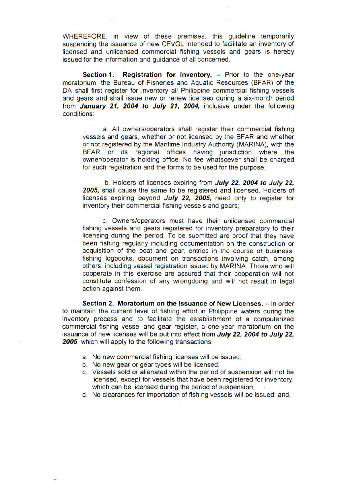WHEREFORE, in view of these premises, this guideline temporarily suspending the issuance of new CFVGL intended to facilitate an inventory of licensed and unlicensed commercial fishing vessels and gears is hereby issued for the information and guidance of all concerned.

**Section 1. Registration for Inventory.** - Prior to the one-year moratorium, the Bureau of Fisheries and Aquatic Resources (BFAR) of the DA shall first register for inventory all Philippine commercial fishing vessels and gears and shall issue new or renew licenses during a six-month period from **January 21, 2004 to July 21, 2004,** inclusive under the following conditions:

a. All owners/operators shall register their commercial fishing vessels and gears, whether or not licensed by the BEAR and whether or not registered by the Maritime Industry Authority (MARINA), with the BFAR or its regional offices having jurisdiction where the owner/operator is holding office. No fee whatsoever shall be charged for such registration and the forms to be used for the purpose;

b. Holders of licenses expiring from **July 22, 2004 to July 22, 2005,** shall cause the same to be registered and licensed. Holders of licenses expiring beyond **July 22, 2005,** need only to register for inventory their commercial fishing vessels and gears;

c. Owners/operators must have their unlicensed commercial fishing vessels and gears registered for inventory preparatory to their licensing during the period. To be submitted are proof that they have been fishing regularly including documentation on the construction or acquisition of the boat and gear, entries in the course of business, fishing logbooks, document on transactions involving catch, among others, including vessel registration issued by MARINA. Those who will cooperate in this exercise are assured that their cooperation will not constitute confession of any wrongdoing and will not result in legal action against them.

**Section 2. Moratorium on the Issuance of New Licenses.** - In order to maintain the current level of fishing effort in Philippine waters during the inventory process and to facilitate the establishment of a computerized commercial fishing vessel and gear register, a one-year moratorium on the issuance of new licenses will be put into effect from **July 22, 2004 to July 22, 2005,** which will apply to the following transactions:

- a. No new commercial fishing licenses will be issued;
- b. No new gear or gear types will be licensed;
- c. Vessels sold or alienated within the period of suspension will not be licensed, except for vessels that have been registered for inventory, which can be licensed during the period of suspension;
- d. No clearances for importation of fishing vessels will be issued; and,